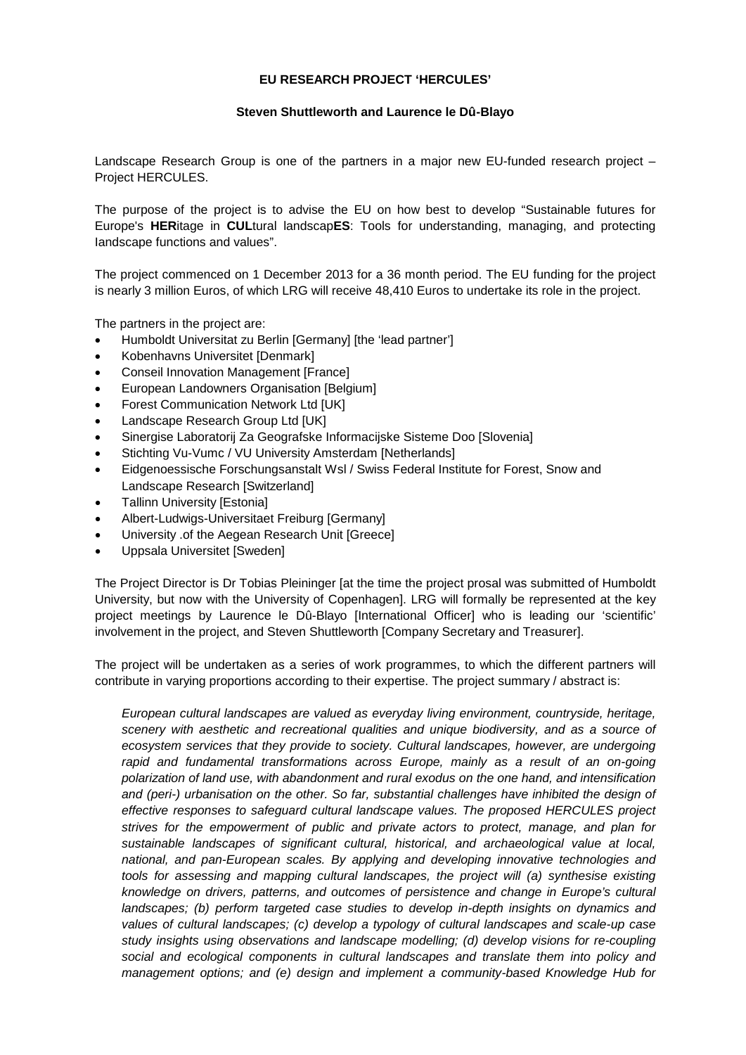## **EU RESEARCH PROJECT 'HERCULES'**

## **Steven Shuttleworth and Laurence le Dû-Blayo**

Landscape Research Group is one of the partners in a major new EU-funded research project – Project HERCULES.

The purpose of the project is to advise the EU on how best to develop "Sustainable futures for Europe's **HER**itage in **CUL**tural landscap**ES**: Tools for understanding, managing, and protecting Iandscape functions and values".

The project commenced on 1 December 2013 for a 36 month period. The EU funding for the project is nearly 3 million Euros, of which LRG will receive 48,410 Euros to undertake its role in the project.

The partners in the project are:

- Humboldt Universitat zu Berlin [Germany] [the 'lead partner']
- Kobenhavns Universitet [Denmark]
- Conseil Innovation Management [France]
- European Landowners Organisation [Belgium]
- Forest Communication Network Ltd [UK]
- Landscape Research Group Ltd [UK]
- Sinergise Laboratorij Za Geografske Informacijske Sisteme Doo [Slovenia]
- Stichting Vu-Vumc / VU University Amsterdam [Netherlands]
- Eidgenoessische Forschungsanstalt Wsl / Swiss Federal Institute for Forest, Snow and Landscape Research [Switzerland]
- **Tallinn University [Estonia]**
- Albert-Ludwigs-Universitaet Freiburg [Germany]
- University .of the Aegean Research Unit [Greece]
- Uppsala Universitet [Sweden]

The Project Director is Dr Tobias Pleininger [at the time the project prosal was submitted of Humboldt University, but now with the University of Copenhagen]. LRG will formally be represented at the key project meetings by Laurence le Dû-Blayo [International Officer] who is leading our 'scientific' involvement in the project, and Steven Shuttleworth [Company Secretary and Treasurer].

The project will be undertaken as a series of work programmes, to which the different partners will contribute in varying proportions according to their expertise. The project summary / abstract is:

*European cultural landscapes are valued as everyday living environment, countryside, heritage, scenery with aesthetic and recreational qualities and unique biodiversity, and as a source of ecosystem services that they provide to society. Cultural landscapes, however, are undergoing*  rapid and fundamental transformations across Europe, mainly as a result of an on-going *polarization of land use, with abandonment and rural exodus on the one hand, and intensification*  and (peri-) urbanisation on the other. So far, substantial challenges have inhibited the design of *effective responses to safeguard cultural landscape values. The proposed HERCULES project strives for the empowerment of public and private actors to protect, manage, and plan for sustainable landscapes of significant cultural, historical, and archaeological value at local, national, and pan-European scales. By applying and developing innovative technologies and tools for assessing and mapping cultural landscapes, the project will (a) synthesise existing knowledge on drivers, patterns, and outcomes of persistence and change in Europe's cultural landscapes; (b) perform targeted case studies to develop in-depth insights on dynamics and values of cultural landscapes; (c) develop a typology of cultural landscapes and scale-up case study insights using observations and landscape modelling; (d) develop visions for re-coupling*  social and ecological components in cultural landscapes and translate them into policy and *management options; and (e) design and implement a community-based Knowledge Hub for*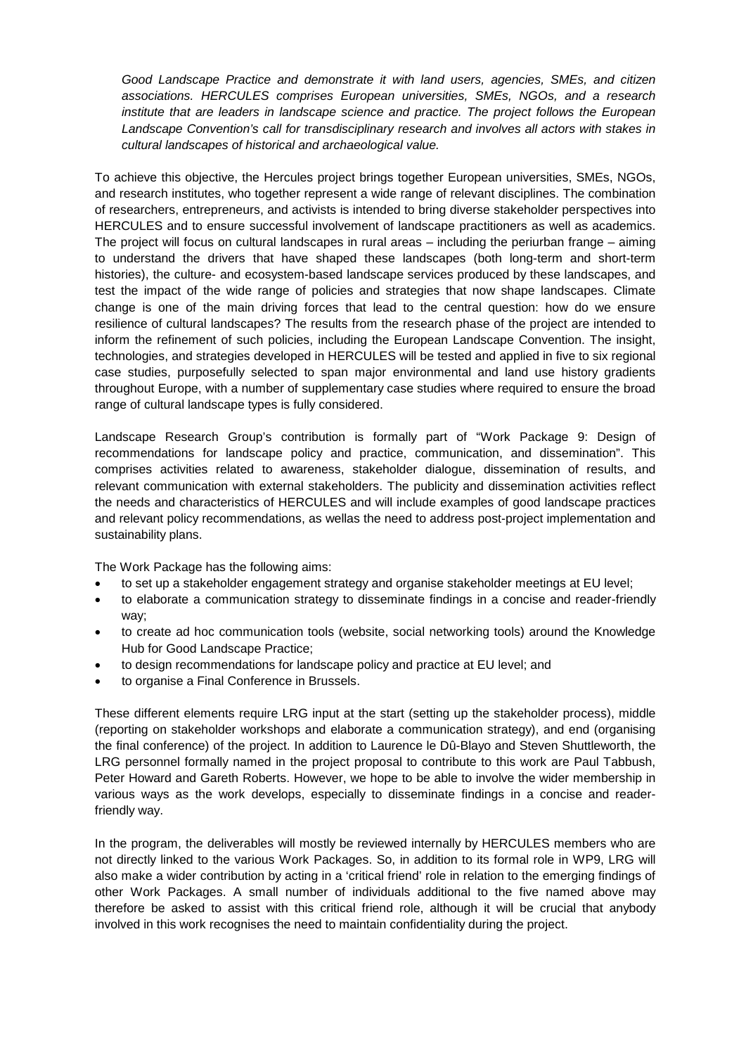*Good Landscape Practice and demonstrate it with land users, agencies, SMEs, and citizen associations. HERCULES comprises European universities, SMEs, NGOs, and a research institute that are leaders in landscape science and practice. The project follows the European Landscape Convention's call for transdisciplinary research and involves all actors with stakes in cultural landscapes of historical and archaeological value.*

To achieve this objective, the Hercules project brings together European universities, SMEs, NGOs, and research institutes, who together represent a wide range of relevant disciplines. The combination of researchers, entrepreneurs, and activists is intended to bring diverse stakeholder perspectives into HERCULES and to ensure successful involvement of landscape practitioners as well as academics. The project will focus on cultural landscapes in rural areas – including the periurban frange – aiming to understand the drivers that have shaped these landscapes (both long-term and short-term histories), the culture- and ecosystem-based landscape services produced by these landscapes, and test the impact of the wide range of policies and strategies that now shape landscapes. Climate change is one of the main driving forces that lead to the central question: how do we ensure resilience of cultural landscapes? The results from the research phase of the project are intended to inform the refinement of such policies, including the European Landscape Convention. The insight, technologies, and strategies developed in HERCULES will be tested and applied in five to six regional case studies, purposefully selected to span major environmental and land use history gradients throughout Europe, with a number of supplementary case studies where required to ensure the broad range of cultural landscape types is fully considered.

Landscape Research Group's contribution is formally part of "Work Package 9: Design of recommendations for landscape policy and practice, communication, and dissemination". This comprises activities related to awareness, stakeholder dialogue, dissemination of results, and relevant communication with external stakeholders. The publicity and dissemination activities reflect the needs and characteristics of HERCULES and will include examples of good landscape practices and relevant policy recommendations, as wellas the need to address post-project implementation and sustainability plans.

The Work Package has the following aims:

- to set up a stakeholder engagement strategy and organise stakeholder meetings at EU level;
- to elaborate a communication strategy to disseminate findings in a concise and reader-friendly way;
- to create ad hoc communication tools (website, social networking tools) around the Knowledge Hub for Good Landscape Practice;
- to design recommendations for landscape policy and practice at EU level; and
- to organise a Final Conference in Brussels.

These different elements require LRG input at the start (setting up the stakeholder process), middle (reporting on stakeholder workshops and elaborate a communication strategy), and end (organising the final conference) of the project. In addition to Laurence le Dû-Blayo and Steven Shuttleworth, the LRG personnel formally named in the project proposal to contribute to this work are Paul Tabbush, Peter Howard and Gareth Roberts. However, we hope to be able to involve the wider membership in various ways as the work develops, especially to disseminate findings in a concise and readerfriendly way.

In the program, the deliverables will mostly be reviewed internally by HERCULES members who are not directly linked to the various Work Packages. So, in addition to its formal role in WP9, LRG will also make a wider contribution by acting in a 'critical friend' role in relation to the emerging findings of other Work Packages. A small number of individuals additional to the five named above may therefore be asked to assist with this critical friend role, although it will be crucial that anybody involved in this work recognises the need to maintain confidentiality during the project.